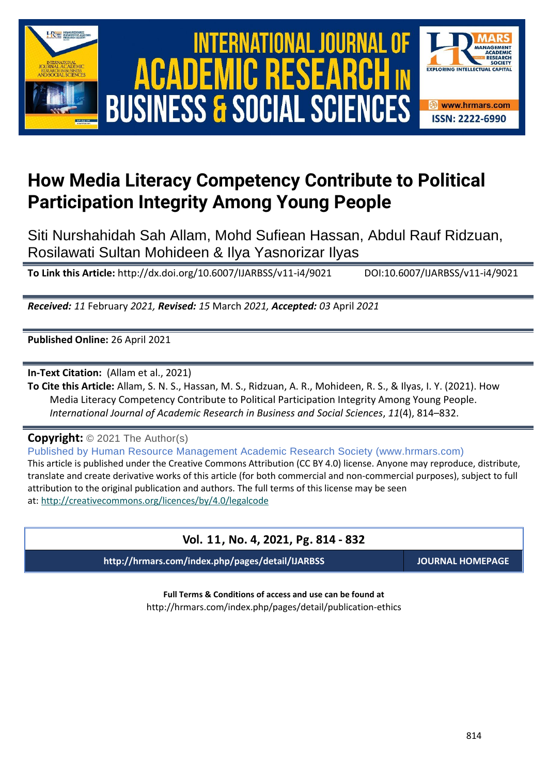





# **How Media Literacy Competency Contribute to Political Participation Integrity Among Young People**

Siti Nurshahidah Sah Allam, Mohd Sufiean Hassan, Abdul Rauf Ridzuan, Rosilawati Sultan Mohideen & Ilya Yasnorizar Ilyas

**To Link this Article:** http://dx.doi.org/10.6007/IJARBSS/v11-i4/9021 DOI:10.6007/IJARBSS/v11-i4/9021

*Received: 11* February *2021, Revised: 15* March *2021, Accepted: 03* April *2021*

**Published Online:** 26 April 2021

**In-Text Citation:** (Allam et al., 2021)

**To Cite this Article:** Allam, S. N. S., Hassan, M. S., Ridzuan, A. R., Mohideen, R. S., & Ilyas, I. Y. (2021). How Media Literacy Competency Contribute to Political Participation Integrity Among Young People. *International Journal of Academic Research in Business and Social Sciences*, *11*(4), 814–832.

**Copyright:** © 2021 The Author(s)

Published by Human Resource Management Academic Research Society (www.hrmars.com) This article is published under the Creative Commons Attribution (CC BY 4.0) license. Anyone may reproduce, distribute, translate and create derivative works of this article (for both commercial and non-commercial purposes), subject to full attribution to the original publication and authors. The full terms of this license may be seen at: <http://creativecommons.org/licences/by/4.0/legalcode>

# **Vol. 11, No. 4, 2021, Pg. 814 - 832**

**http://hrmars.com/index.php/pages/detail/IJARBSS JOURNAL HOMEPAGE**

**Full Terms & Conditions of access and use can be found at** http://hrmars.com/index.php/pages/detail/publication-ethics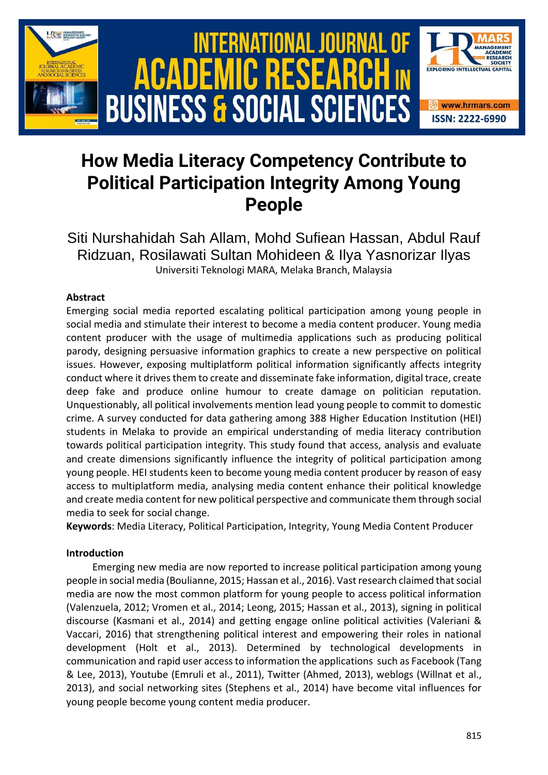

# **How Media Literacy Competency Contribute to Political Participation Integrity Among Young People**

Siti Nurshahidah Sah Allam, Mohd Sufiean Hassan, Abdul Rauf Ridzuan, Rosilawati Sultan Mohideen & Ilya Yasnorizar Ilyas Universiti Teknologi MARA, Melaka Branch, Malaysia

# **Abstract**

Emerging social media reported escalating political participation among young people in social media and stimulate their interest to become a media content producer. Young media content producer with the usage of multimedia applications such as producing political parody, designing persuasive information graphics to create a new perspective on political issues. However, exposing multiplatform political information significantly affects integrity conduct where it drives them to create and disseminate fake information, digital trace, create deep fake and produce online humour to create damage on politician reputation. Unquestionably, all political involvements mention lead young people to commit to domestic crime. A survey conducted for data gathering among 388 Higher Education Institution (HEI) students in Melaka to provide an empirical understanding of media literacy contribution towards political participation integrity. This study found that access, analysis and evaluate and create dimensions significantly influence the integrity of political participation among young people. HEI students keen to become young media content producer by reason of easy access to multiplatform media, analysing media content enhance their political knowledge and create media content for new political perspective and communicate them through social media to seek for social change.

**Keywords**: Media Literacy, Political Participation, Integrity, Young Media Content Producer

# **Introduction**

Emerging new media are now reported to increase political participation among young people in social media (Boulianne, 2015; Hassan et al., 2016). Vast research claimed that social media are now the most common platform for young people to access political information (Valenzuela, 2012; Vromen et al., 2014; Leong, 2015; Hassan et al., 2013), signing in political discourse (Kasmani et al., 2014) and getting engage online political activities (Valeriani & Vaccari, 2016) that strengthening political interest and empowering their roles in national development (Holt et al., 2013). Determined by technological developments in communication and rapid user access to information the applications such as Facebook (Tang & Lee, 2013), Youtube (Emruli et al., 2011), Twitter (Ahmed, 2013), weblogs (Willnat et al., 2013), and social networking sites (Stephens et al., 2014) have become vital influences for young people become young content media producer.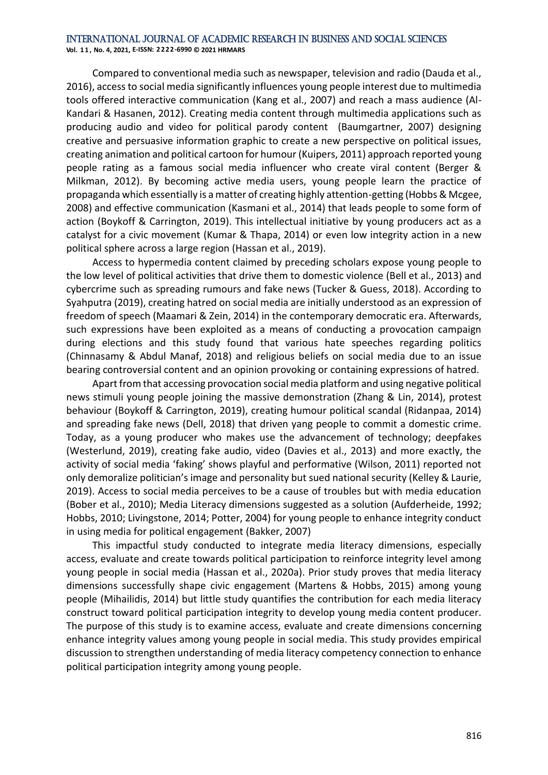**Vol. 1 1 , No. 4, 2021, E-ISSN: 2222-6990 © 2021 HRMARS**

Compared to conventional media such as newspaper, television and radio (Dauda et al., 2016), access to social media significantly influences young people interest due to multimedia tools offered interactive communication (Kang et al., 2007) and reach a mass audience (Al-Kandari & Hasanen, 2012). Creating media content through multimedia applications such as producing audio and video for political parody content (Baumgartner, 2007) designing creative and persuasive information graphic to create a new perspective on political issues, creating animation and political cartoon for humour (Kuipers, 2011) approach reported young people rating as a famous social media influencer who create viral content (Berger & Milkman, 2012). By becoming active media users, young people learn the practice of propaganda which essentially is a matter of creating highly attention-getting (Hobbs & Mcgee, 2008) and effective communication (Kasmani et al., 2014) that leads people to some form of action (Boykoff & Carrington, 2019). This intellectual initiative by young producers act as a catalyst for a civic movement (Kumar & Thapa, 2014) or even low integrity action in a new political sphere across a large region (Hassan et al., 2019).

Access to hypermedia content claimed by preceding scholars expose young people to the low level of political activities that drive them to domestic violence (Bell et al., 2013) and cybercrime such as spreading rumours and fake news (Tucker & Guess, 2018). According to Syahputra (2019), creating hatred on social media are initially understood as an expression of freedom of speech (Maamari & Zein, 2014) in the contemporary democratic era. Afterwards, such expressions have been exploited as a means of conducting a provocation campaign during elections and this study found that various hate speeches regarding politics (Chinnasamy & Abdul Manaf, 2018) and religious beliefs on social media due to an issue bearing controversial content and an opinion provoking or containing expressions of hatred.

Apart from that accessing provocation social media platform and using negative political news stimuli young people joining the massive demonstration (Zhang & Lin, 2014), protest behaviour (Boykoff & Carrington, 2019), creating humour political scandal (Ridanpaa, 2014) and spreading fake news (Dell, 2018) that driven yang people to commit a domestic crime. Today, as a young producer who makes use the advancement of technology; deepfakes (Westerlund, 2019), creating fake audio, video (Davies et al., 2013) and more exactly, the activity of social media 'faking' shows playful and performative (Wilson, 2011) reported not only demoralize politician's image and personality but sued national security (Kelley & Laurie, 2019). Access to social media perceives to be a cause of troubles but with media education (Bober et al., 2010); Media Literacy dimensions suggested as a solution (Aufderheide, 1992; Hobbs, 2010; Livingstone, 2014; Potter, 2004) for young people to enhance integrity conduct in using media for political engagement (Bakker, 2007)

This impactful study conducted to integrate media literacy dimensions, especially access, evaluate and create towards political participation to reinforce integrity level among young people in social media (Hassan et al., 2020a). Prior study proves that media literacy dimensions successfully shape civic engagement (Martens & Hobbs, 2015) among young people (Mihailidis, 2014) but little study quantifies the contribution for each media literacy construct toward political participation integrity to develop young media content producer. The purpose of this study is to examine access, evaluate and create dimensions concerning enhance integrity values among young people in social media. This study provides empirical discussion to strengthen understanding of media literacy competency connection to enhance political participation integrity among young people.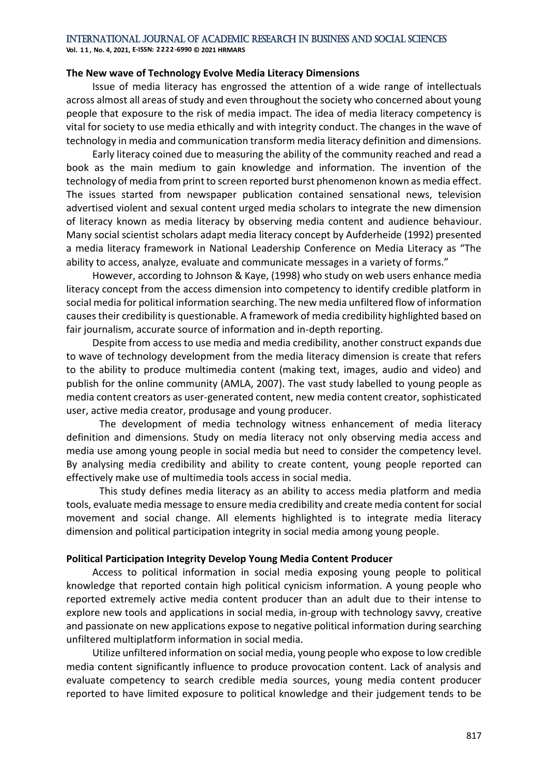**Vol. 1 1 , No. 4, 2021, E-ISSN: 2222-6990 © 2021 HRMARS**

#### **The New wave of Technology Evolve Media Literacy Dimensions**

Issue of media literacy has engrossed the attention of a wide range of intellectuals across almost all areas of study and even throughout the society who concerned about young people that exposure to the risk of media impact. The idea of media literacy competency is vital for society to use media ethically and with integrity conduct. The changes in the wave of technology in media and communication transform media literacy definition and dimensions.

Early literacy coined due to measuring the ability of the community reached and read a book as the main medium to gain knowledge and information. The invention of the technology of media from print to screen reported burst phenomenon known as media effect. The issues started from newspaper publication contained sensational news, television advertised violent and sexual content urged media scholars to integrate the new dimension of literacy known as media literacy by observing media content and audience behaviour. Many social scientist scholars adapt media literacy concept by Aufderheide (1992) presented a media literacy framework in National Leadership Conference on Media Literacy as "The ability to access, analyze, evaluate and communicate messages in a variety of forms."

However, according to Johnson & Kaye, (1998) who study on web users enhance media literacy concept from the access dimension into competency to identify credible platform in social media for political information searching. The new media unfiltered flow of information causes their credibility is questionable. A framework of media credibility highlighted based on fair journalism, accurate source of information and in-depth reporting.

Despite from access to use media and media credibility, another construct expands due to wave of technology development from the media literacy dimension is create that refers to the ability to produce multimedia content (making text, images, audio and video) and publish for the online community (AMLA, 2007). The vast study labelled to young people as media content creators as user-generated content, new media content creator, sophisticated user, active media creator, produsage and young producer.

The development of media technology witness enhancement of media literacy definition and dimensions. Study on media literacy not only observing media access and media use among young people in social media but need to consider the competency level. By analysing media credibility and ability to create content, young people reported can effectively make use of multimedia tools access in social media.

This study defines media literacy as an ability to access media platform and media tools, evaluate media message to ensure media credibility and create media content for social movement and social change. All elements highlighted is to integrate media literacy dimension and political participation integrity in social media among young people.

#### **Political Participation Integrity Develop Young Media Content Producer**

Access to political information in social media exposing young people to political knowledge that reported contain high political cynicism information. A young people who reported extremely active media content producer than an adult due to their intense to explore new tools and applications in social media, in-group with technology savvy, creative and passionate on new applications expose to negative political information during searching unfiltered multiplatform information in social media.

Utilize unfiltered information on social media, young people who expose to low credible media content significantly influence to produce provocation content. Lack of analysis and evaluate competency to search credible media sources, young media content producer reported to have limited exposure to political knowledge and their judgement tends to be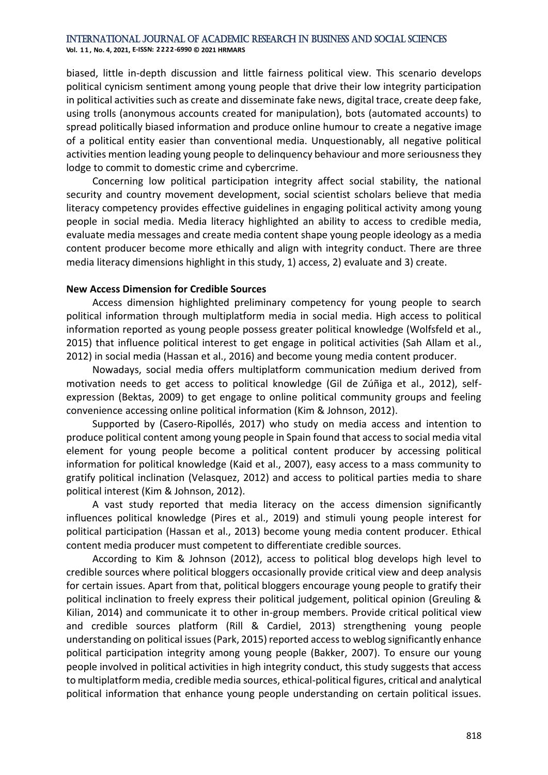**Vol. 1 1 , No. 4, 2021, E-ISSN: 2222-6990 © 2021 HRMARS**

biased, little in-depth discussion and little fairness political view. This scenario develops political cynicism sentiment among young people that drive their low integrity participation in political activities such as create and disseminate fake news, digital trace, create deep fake, using trolls (anonymous accounts created for manipulation), bots (automated accounts) to spread politically biased information and produce online humour to create a negative image of a political entity easier than conventional media. Unquestionably, all negative political activities mention leading young people to delinquency behaviour and more seriousness they lodge to commit to domestic crime and cybercrime.

Concerning low political participation integrity affect social stability, the national security and country movement development, social scientist scholars believe that media literacy competency provides effective guidelines in engaging political activity among young people in social media. Media literacy highlighted an ability to access to credible media, evaluate media messages and create media content shape young people ideology as a media content producer become more ethically and align with integrity conduct. There are three media literacy dimensions highlight in this study, 1) access, 2) evaluate and 3) create.

#### **New Access Dimension for Credible Sources**

Access dimension highlighted preliminary competency for young people to search political information through multiplatform media in social media. High access to political information reported as young people possess greater political knowledge (Wolfsfeld et al., 2015) that influence political interest to get engage in political activities (Sah Allam et al., 2012) in social media (Hassan et al., 2016) and become young media content producer.

Nowadays, social media offers multiplatform communication medium derived from motivation needs to get access to political knowledge (Gil de Zúñiga et al., 2012), selfexpression (Bektas, 2009) to get engage to online political community groups and feeling convenience accessing online political information (Kim & Johnson, 2012).

Supported by (Casero-Ripollés, 2017) who study on media access and intention to produce political content among young people in Spain found that access to social media vital element for young people become a political content producer by accessing political information for political knowledge (Kaid et al., 2007), easy access to a mass community to gratify political inclination (Velasquez, 2012) and access to political parties media to share political interest (Kim & Johnson, 2012).

A vast study reported that media literacy on the access dimension significantly influences political knowledge (Pires et al., 2019) and stimuli young people interest for political participation (Hassan et al., 2013) become young media content producer. Ethical content media producer must competent to differentiate credible sources.

According to Kim & Johnson (2012), access to political blog develops high level to credible sources where political bloggers occasionally provide critical view and deep analysis for certain issues. Apart from that, political bloggers encourage young people to gratify their political inclination to freely express their political judgement, political opinion (Greuling & Kilian, 2014) and communicate it to other in-group members. Provide critical political view and credible sources platform (Rill & Cardiel, 2013) strengthening young people understanding on political issues (Park, 2015) reported access to weblog significantly enhance political participation integrity among young people (Bakker, 2007). To ensure our young people involved in political activities in high integrity conduct, this study suggests that access to multiplatform media, credible media sources, ethical-political figures, critical and analytical political information that enhance young people understanding on certain political issues.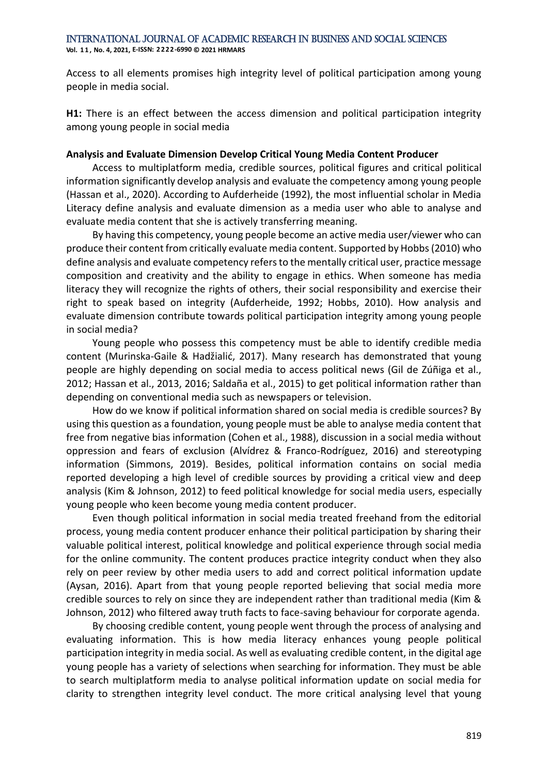**Vol. 1 1 , No. 4, 2021, E-ISSN: 2222-6990 © 2021 HRMARS**

Access to all elements promises high integrity level of political participation among young people in media social.

**H1:** There is an effect between the access dimension and political participation integrity among young people in social media

# **Analysis and Evaluate Dimension Develop Critical Young Media Content Producer**

Access to multiplatform media, credible sources, political figures and critical political information significantly develop analysis and evaluate the competency among young people (Hassan et al., 2020). According to Aufderheide (1992), the most influential scholar in Media Literacy define analysis and evaluate dimension as a media user who able to analyse and evaluate media content that she is actively transferring meaning.

By having this competency, young people become an active media user/viewer who can produce their content from critically evaluate media content. Supported by Hobbs (2010) who define analysis and evaluate competency refers to the mentally critical user, practice message composition and creativity and the ability to engage in ethics. When someone has media literacy they will recognize the rights of others, their social responsibility and exercise their right to speak based on integrity (Aufderheide, 1992; Hobbs, 2010). How analysis and evaluate dimension contribute towards political participation integrity among young people in social media?

Young people who possess this competency must be able to identify credible media content (Murinska-Gaile & Hadžialić, 2017). Many research has demonstrated that young people are highly depending on social media to access political news (Gil de Zúñiga et al., 2012; Hassan et al., 2013, 2016; Saldaña et al., 2015) to get political information rather than depending on conventional media such as newspapers or television.

How do we know if political information shared on social media is credible sources? By using this question as a foundation, young people must be able to analyse media content that free from negative bias information (Cohen et al., 1988), discussion in a social media without oppression and fears of exclusion (Alvídrez & Franco-Rodríguez, 2016) and stereotyping information (Simmons, 2019). Besides, political information contains on social media reported developing a high level of credible sources by providing a critical view and deep analysis (Kim & Johnson, 2012) to feed political knowledge for social media users, especially young people who keen become young media content producer.

Even though political information in social media treated freehand from the editorial process, young media content producer enhance their political participation by sharing their valuable political interest, political knowledge and political experience through social media for the online community. The content produces practice integrity conduct when they also rely on peer review by other media users to add and correct political information update (Aysan, 2016). Apart from that young people reported believing that social media more credible sources to rely on since they are independent rather than traditional media (Kim & Johnson, 2012) who filtered away truth facts to face-saving behaviour for corporate agenda.

By choosing credible content, young people went through the process of analysing and evaluating information. This is how media literacy enhances young people political participation integrity in media social. As well as evaluating credible content, in the digital age young people has a variety of selections when searching for information. They must be able to search multiplatform media to analyse political information update on social media for clarity to strengthen integrity level conduct. The more critical analysing level that young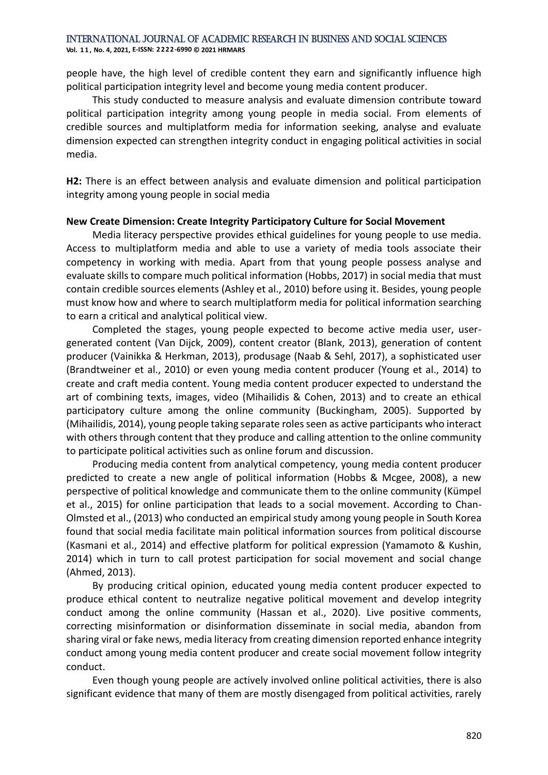**Vol. 1 1 , No. 4, 2021, E-ISSN: 2222-6990 © 2021 HRMARS**

people have, the high level of credible content they earn and significantly influence high political participation integrity level and become young media content producer.

This study conducted to measure analysis and evaluate dimension contribute toward political participation integrity among young people in media social. From elements of credible sources and multiplatform media for information seeking, analyse and evaluate dimension expected can strengthen integrity conduct in engaging political activities in social media.

**H2:** There is an effect between analysis and evaluate dimension and political participation integrity among young people in social media

# **New Create Dimension: Create Integrity Participatory Culture for Social Movement**

Media literacy perspective provides ethical guidelines for young people to use media. Access to multiplatform media and able to use a variety of media tools associate their competency in working with media. Apart from that young people possess analyse and evaluate skills to compare much political information (Hobbs, 2017) in social media that must contain credible sources elements (Ashley et al., 2010) before using it. Besides, young people must know how and where to search multiplatform media for political information searching to earn a critical and analytical political view.

Completed the stages, young people expected to become active media user, usergenerated content (Van Dijck, 2009), content creator (Blank, 2013), generation of content producer (Vainikka & Herkman, 2013), produsage (Naab & Sehl, 2017), a sophisticated user (Brandtweiner et al., 2010) or even young media content producer (Young et al., 2014) to create and craft media content. Young media content producer expected to understand the art of combining texts, images, video (Mihailidis & Cohen, 2013) and to create an ethical participatory culture among the online community (Buckingham, 2005). Supported by (Mihailidis, 2014), young people taking separate roles seen as active participants who interact with others through content that they produce and calling attention to the online community to participate political activities such as online forum and discussion.

Producing media content from analytical competency, young media content producer predicted to create a new angle of political information (Hobbs & Mcgee, 2008), a new perspective of political knowledge and communicate them to the online community (Kümpel et al., 2015) for online participation that leads to a social movement. According to Chan-Olmsted et al., (2013) who conducted an empirical study among young people in South Korea found that social media facilitate main political information sources from political discourse (Kasmani et al., 2014) and effective platform for political expression (Yamamoto & Kushin, 2014) which in turn to call protest participation for social movement and social change (Ahmed, 2013).

By producing critical opinion, educated young media content producer expected to produce ethical content to neutralize negative political movement and develop integrity conduct among the online community (Hassan et al., 2020). Live positive comments, correcting misinformation or disinformation disseminate in social media, abandon from sharing viral or fake news, media literacy from creating dimension reported enhance integrity conduct among young media content producer and create social movement follow integrity conduct.

Even though young people are actively involved online political activities, there is also significant evidence that many of them are mostly disengaged from political activities, rarely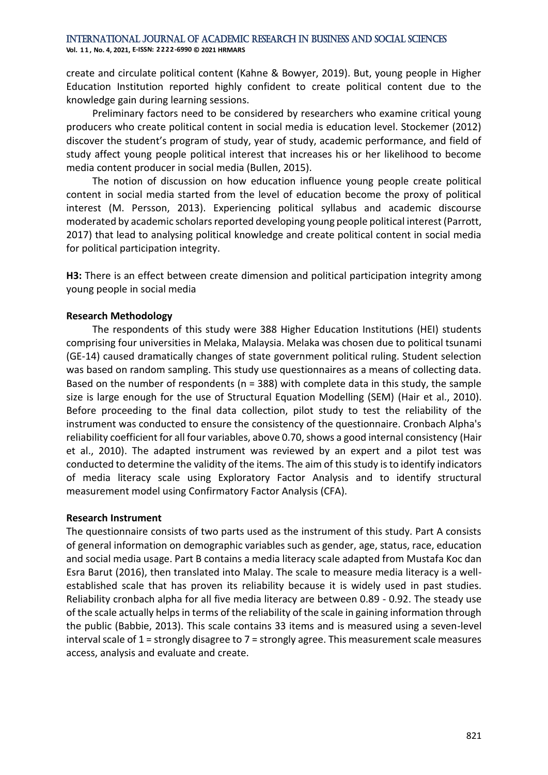**Vol. 1 1 , No. 4, 2021, E-ISSN: 2222-6990 © 2021 HRMARS**

create and circulate political content (Kahne & Bowyer, 2019). But, young people in Higher Education Institution reported highly confident to create political content due to the knowledge gain during learning sessions.

Preliminary factors need to be considered by researchers who examine critical young producers who create political content in social media is education level. Stockemer (2012) discover the student's program of study, year of study, academic performance, and field of study affect young people political interest that increases his or her likelihood to become media content producer in social media (Bullen, 2015).

The notion of discussion on how education influence young people create political content in social media started from the level of education become the proxy of political interest (M. Persson, 2013). Experiencing political syllabus and academic discourse moderated by academic scholars reported developing young people political interest (Parrott, 2017) that lead to analysing political knowledge and create political content in social media for political participation integrity.

**H3:** There is an effect between create dimension and political participation integrity among young people in social media

#### **Research Methodology**

The respondents of this study were 388 Higher Education Institutions (HEI) students comprising four universities in Melaka, Malaysia. Melaka was chosen due to political tsunami (GE-14) caused dramatically changes of state government political ruling. Student selection was based on random sampling. This study use questionnaires as a means of collecting data. Based on the number of respondents ( $n = 388$ ) with complete data in this study, the sample size is large enough for the use of Structural Equation Modelling (SEM) (Hair et al., 2010). Before proceeding to the final data collection, pilot study to test the reliability of the instrument was conducted to ensure the consistency of the questionnaire. Cronbach Alpha's reliability coefficient for all four variables, above 0.70, shows a good internal consistency (Hair et al., 2010). The adapted instrument was reviewed by an expert and a pilot test was conducted to determine the validity of the items. The aim of this study is to identify indicators of media literacy scale using Exploratory Factor Analysis and to identify structural measurement model using Confirmatory Factor Analysis (CFA).

#### **Research Instrument**

The questionnaire consists of two parts used as the instrument of this study. Part A consists of general information on demographic variables such as gender, age, status, race, education and social media usage. Part B contains a media literacy scale adapted from Mustafa Koc dan Esra Barut (2016), then translated into Malay. The scale to measure media literacy is a wellestablished scale that has proven its reliability because it is widely used in past studies. Reliability cronbach alpha for all five media literacy are between 0.89 - 0.92. The steady use of the scale actually helps in terms of the reliability of the scale in gaining information through the public (Babbie, 2013). This scale contains 33 items and is measured using a seven-level interval scale of 1 = strongly disagree to 7 = strongly agree. This measurement scale measures access, analysis and evaluate and create.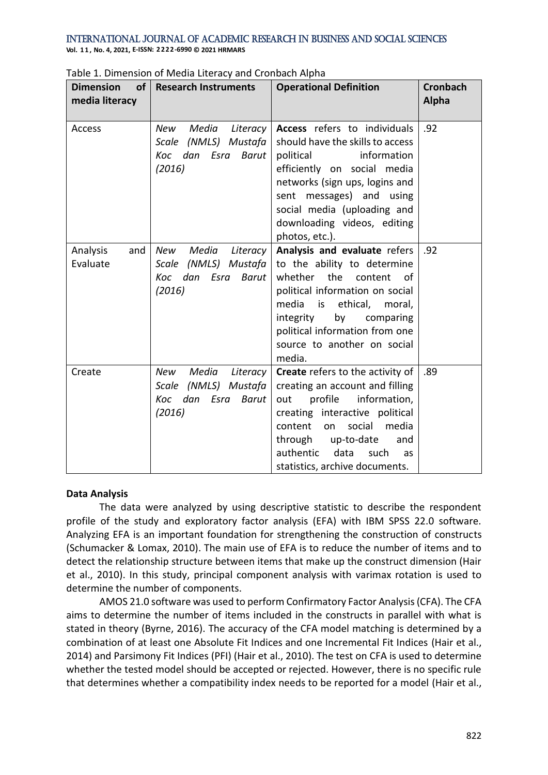International Journal of Academic Research in Business and Social Sciences **Vol. 1 1 , No. 4, 2021, E-ISSN: 2222-6990 © 2021 HRMARS**

| <b>Dimension</b><br>of<br>media literacy | <b>Research Instruments</b>                                                         | <b>Operational Definition</b>                                                                                                                                                                                                                                                                        | <b>Cronbach</b><br><b>Alpha</b> |
|------------------------------------------|-------------------------------------------------------------------------------------|------------------------------------------------------------------------------------------------------------------------------------------------------------------------------------------------------------------------------------------------------------------------------------------------------|---------------------------------|
| Access                                   | Media<br>New<br>Literacy<br>Scale (NMLS) Mustafa<br>Koc dan Esra<br>Barut<br>(2016) | Access refers to individuals<br>should have the skills to access<br>political<br>information<br>efficiently on social media<br>networks (sign ups, logins and<br>sent messages) and using<br>social media (uploading and<br>downloading videos, editing<br>photos, etc.).                            | .92                             |
| Analysis<br>and<br>Evaluate              | Media<br>New<br>Literacy<br>Scale (NMLS) Mustafa<br>Koc dan Esra<br>Barut<br>(2016) | Analysis and evaluate refers<br>to the ability to determine<br>whether the content<br>of<br>political information on social<br>media<br>$\overline{\phantom{a}}$ is<br>ethical,<br>moral,<br>integrity<br>by<br>comparing<br>political information from one<br>source to another on social<br>media. | .92                             |
| Create                                   | Media<br>Literacy<br>New<br>Scale (NMLS) Mustafa<br>Koc dan Esra Barut<br>(2016)    | Create refers to the activity of<br>creating an account and filling<br>information,<br>profile<br>out<br>creating interactive political<br>content<br>social<br>media<br>on<br>through up-to-date<br>and<br>authentic<br>data<br>such<br><b>as</b><br>statistics, archive documents.                 | .89                             |

Table 1. Dimension of Media Literacy and Cronbach Alpha

# **Data Analysis**

The data were analyzed by using descriptive statistic to describe the respondent profile of the study and exploratory factor analysis (EFA) with IBM SPSS 22.0 software. Analyzing EFA is an important foundation for strengthening the construction of constructs (Schumacker & Lomax, 2010). The main use of EFA is to reduce the number of items and to detect the relationship structure between items that make up the construct dimension (Hair et al., 2010). In this study, principal component analysis with varimax rotation is used to determine the number of components.

AMOS 21.0 software was used to perform Confirmatory Factor Analysis (CFA). The CFA aims to determine the number of items included in the constructs in parallel with what is stated in theory (Byrne, 2016). The accuracy of the CFA model matching is determined by a combination of at least one Absolute Fit Indices and one Incremental Fit Indices (Hair et al., 2014) and Parsimony Fit Indices (PFI) (Hair et al., 2010). The test on CFA is used to determine whether the tested model should be accepted or rejected. However, there is no specific rule that determines whether a compatibility index needs to be reported for a model (Hair et al.,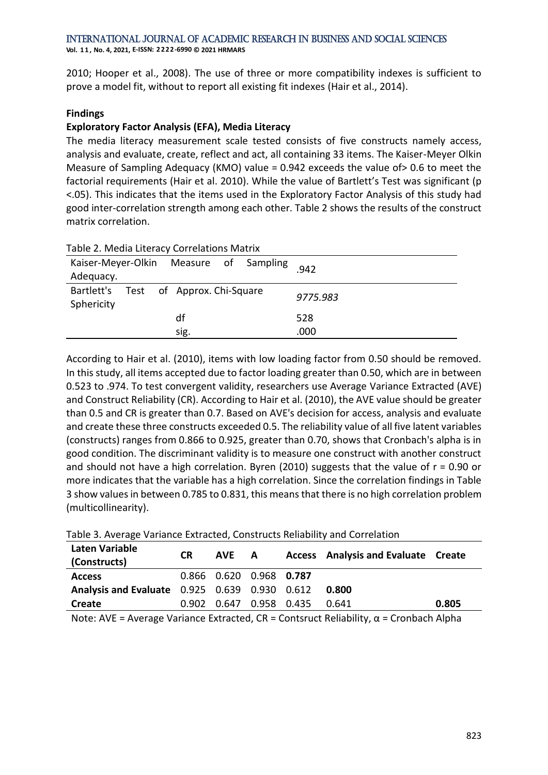**Vol. 1 1 , No. 4, 2021, E-ISSN: 2222-6990 © 2021 HRMARS**

2010; Hooper et al., 2008). The use of three or more compatibility indexes is sufficient to prove a model fit, without to report all existing fit indexes (Hair et al., 2014).

# **Findings**

# **Exploratory Factor Analysis (EFA), Media Literacy**

The media literacy measurement scale tested consists of five constructs namely access, analysis and evaluate, create, reflect and act, all containing 33 items. The Kaiser-Meyer Olkin Measure of Sampling Adequacy (KMO) value = 0.942 exceeds the value of> 0.6 to meet the factorial requirements (Hair et al. 2010). While the value of Bartlett's Test was significant (p <.05). This indicates that the items used in the Exploratory Factor Analysis of this study had good inter-correlation strength among each other. Table 2 shows the results of the construct matrix correlation.

| Table 2. Media Literacy Correlations Matrix         |      |  |          |  |  |  |  |  |
|-----------------------------------------------------|------|--|----------|--|--|--|--|--|
| Kaiser-Meyer-Olkin Measure of Sampling              |      |  | 942      |  |  |  |  |  |
| Adequacy.                                           |      |  |          |  |  |  |  |  |
| Bartlett's Test of Approx. Chi-Square<br>Sphericity |      |  | 9775.983 |  |  |  |  |  |
|                                                     | df   |  | 528      |  |  |  |  |  |
|                                                     | sig. |  | .000     |  |  |  |  |  |

According to Hair et al. (2010), items with low loading factor from 0.50 should be removed. In this study, all items accepted due to factor loading greater than 0.50, which are in between 0.523 to .974. To test convergent validity, researchers use Average Variance Extracted (AVE) and Construct Reliability (CR). According to Hair et al. (2010), the AVE value should be greater than 0.5 and CR is greater than 0.7. Based on AVE's decision for access, analysis and evaluate and create these three constructs exceeded 0.5. The reliability value of all five latent variables (constructs) ranges from 0.866 to 0.925, greater than 0.70, shows that Cronbach's alpha is in good condition. The discriminant validity is to measure one construct with another construct and should not have a high correlation. Byren (2010) suggests that the value of  $r = 0.90$  or more indicates that the variable has a high correlation. Since the correlation findings in Table 3 show values in between 0.785 to 0.831, this means that there is no high correlation problem (multicollinearity).

| Laten Variable<br>(Constructs)                | <b>CR</b> | AVE A                   |  | <b>Access</b> Analysis and Evaluate Create |       |
|-----------------------------------------------|-----------|-------------------------|--|--------------------------------------------|-------|
| <b>Access</b>                                 |           | 0.866 0.620 0.968 0.787 |  |                                            |       |
| Analysis and Evaluate 0.925 0.639 0.930 0.612 |           |                         |  | 0.800                                      |       |
| Create                                        |           | 0.902 0.647 0.958 0.435 |  | 0.641                                      | 0.805 |

|  |  |  |  |  |  |  | Table 3. Average Variance Extracted, Constructs Reliability and Correlation |
|--|--|--|--|--|--|--|-----------------------------------------------------------------------------|
|--|--|--|--|--|--|--|-----------------------------------------------------------------------------|

Note: AVE = Average Variance Extracted, CR = Contsruct Reliability, α = Cronbach Alpha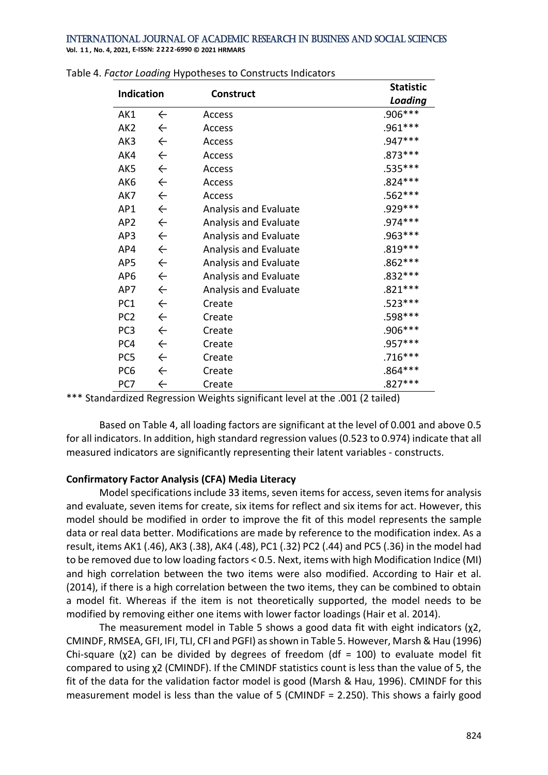**Vol. 1 1 , No. 4, 2021, E-ISSN: 2222-6990 © 2021 HRMARS**

| <b>Indication</b> |              |                       | <b>Statistic</b> |
|-------------------|--------------|-----------------------|------------------|
|                   |              | <b>Construct</b>      | Loading          |
| AK1               | $\leftarrow$ | Access                | .906***          |
| AK <sub>2</sub>   | $\leftarrow$ | Access                | .961 ***         |
| AK3               | $\leftarrow$ | Access                | .947***          |
| AK4               | $\leftarrow$ | Access                | .873 ***         |
| AK5               | $\leftarrow$ | Access                | .535***          |
| AK6               | $\leftarrow$ | Access                | $.824***$        |
| AK7               | $\leftarrow$ | Access                | .562***          |
| AP1               | $\leftarrow$ | Analysis and Evaluate | .929 ***         |
| AP <sub>2</sub>   | $\leftarrow$ | Analysis and Evaluate | .974 ***         |
| AP3               | $\leftarrow$ | Analysis and Evaluate | .963 ***         |
| AP4               | $\leftarrow$ | Analysis and Evaluate | $.819***$        |
| AP5               | $\leftarrow$ | Analysis and Evaluate | $.862***$        |
| AP <sub>6</sub>   | $\leftarrow$ | Analysis and Evaluate | .832***          |
| AP7               | $\leftarrow$ | Analysis and Evaluate | $.821***$        |
| PC1               | $\leftarrow$ | Create                | $.523***$        |
| PC <sub>2</sub>   | $\leftarrow$ | Create                | .598***          |
| PC <sub>3</sub>   | $\leftarrow$ | Create                | .906***          |
| PC4               | $\leftarrow$ | Create                | .957***          |
| PC <sub>5</sub>   | $\leftarrow$ | Create                | $.716***$        |
| PC <sub>6</sub>   | $\leftarrow$ | Create                | .864 ***         |
| PC7               | $\leftarrow$ | Create                | $.827***$        |

\*\*\* Standardized Regression Weights significant level at the .001 (2 tailed)

Based on Table 4, all loading factors are significant at the level of 0.001 and above 0.5 for all indicators. In addition, high standard regression values (0.523 to 0.974) indicate that all measured indicators are significantly representing their latent variables - constructs.

#### **Confirmatory Factor Analysis (CFA) Media Literacy**

Model specifications include 33 items, seven items for access, seven items for analysis and evaluate, seven items for create, six items for reflect and six items for act. However, this model should be modified in order to improve the fit of this model represents the sample data or real data better. Modifications are made by reference to the modification index. As a result, items AK1 (.46), AK3 (.38), AK4 (.48), PC1 (.32) PC2 (.44) and PC5 (.36) in the model had to be removed due to low loading factors < 0.5. Next, items with high Modification Indice (MI) and high correlation between the two items were also modified. According to Hair et al. (2014), if there is a high correlation between the two items, they can be combined to obtain a model fit. Whereas if the item is not theoretically supported, the model needs to be modified by removing either one items with lower factor loadings (Hair et al. 2014).

The measurement model in Table 5 shows a good data fit with eight indicators  $(\chi2, \chi_1)$ CMINDF, RMSEA, GFI, IFI, TLI, CFI and PGFI) as shown in Table 5. However, Marsh & Hau (1996) Chi-square (χ2) can be divided by degrees of freedom (df = 100) to evaluate model fit compared to using χ2 (CMINDF). If the CMINDF statistics count is less than the value of 5, the fit of the data for the validation factor model is good (Marsh & Hau, 1996). CMINDF for this measurement model is less than the value of 5 (CMINDF = 2.250). This shows a fairly good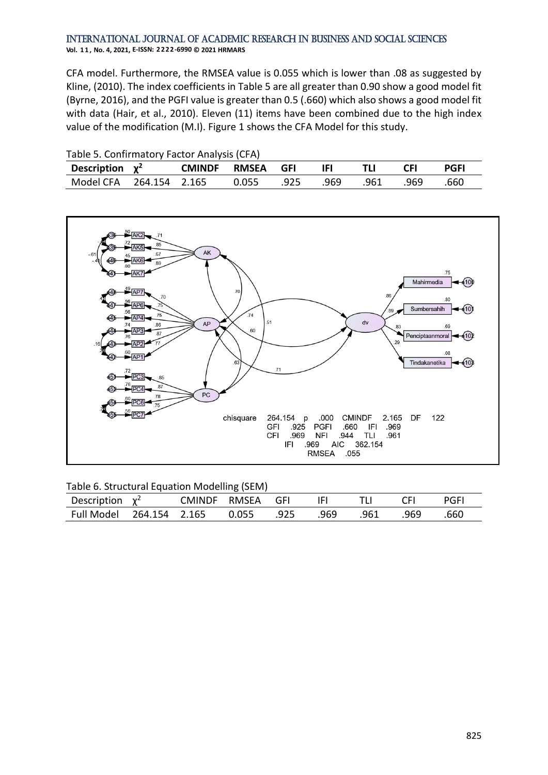#### International Journal of Academic Research in Business and Social Sciences **Vol. 1 1 , No. 4, 2021, E-ISSN: 2222-6990 © 2021 HRMARS**

CFA model. Furthermore, the RMSEA value is 0.055 which is lower than .08 as suggested by Kline, (2010). The index coefficients in Table 5 are all greater than 0.90 show a good model fit (Byrne, 2016), and the PGFI value is greater than 0.5 (.660) which also shows a good model fit with data (Hair, et al., 2010). Eleven (11) items have been combined due to the high index value of the modification (M.I). Figure 1 shows the CFA Model for this study.

| Table 5. Confirmatory Factor Analysis (CFA) |  |  |                  |      |      |      |            |             |  |
|---------------------------------------------|--|--|------------------|------|------|------|------------|-------------|--|
| Description $\chi^2$                        |  |  | CMINDF RMSEA GFI |      |      |      | <b>CFI</b> | <b>PGFI</b> |  |
| Model CFA 264.154 2.165                     |  |  | 0.055            | .925 | .969 | .961 | .969       | .660        |  |



|  |  | Table 6. Structural Equation Modelling (SEM) |
|--|--|----------------------------------------------|
|--|--|----------------------------------------------|

Table 5. Confirmatory Factor Analysis (CFA)

| Description $\chi^2$     |  | CMINDF RMSEA GFI |      | IFI  |      | <b>CEI</b> | PGFI |
|--------------------------|--|------------------|------|------|------|------------|------|
| Full Model 264.154 2.165 |  | 0.055            | .925 | .969 | .961 | .969       | .660 |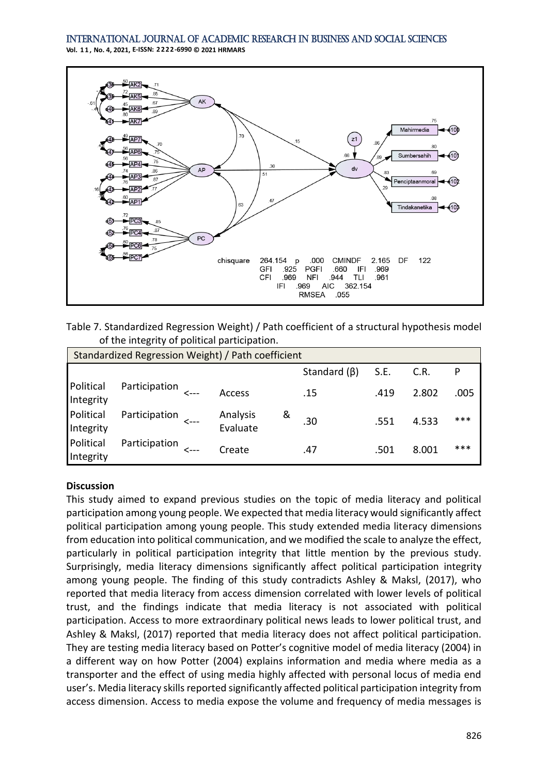**Vol. 1 1 , No. 4, 2021, E-ISSN: 2222-6990 © 2021 HRMARS**



Table 7. Standardized Regression Weight) / Path coefficient of a structural hypothesis model of the integrity of political participation.

| Standardized Regression Weight) / Path coefficient |                    |  |                      |   |                    |      |       |      |  |
|----------------------------------------------------|--------------------|--|----------------------|---|--------------------|------|-------|------|--|
|                                                    |                    |  |                      |   | Standard $(\beta)$ | S.E. | C.R.  | P    |  |
| Political<br>Integrity                             | Participation <--- |  | <b>Access</b>        |   | .15                | .419 | 2.802 | .005 |  |
| Political<br>Integrity                             | Participation      |  | Analysis<br>Evaluate | & | .30                | .551 | 4.533 | ***  |  |
| Political<br>Integrity                             | Participation      |  | Create               |   | .47                | .501 | 8.001 | ***  |  |

# **Discussion**

This study aimed to expand previous studies on the topic of media literacy and political participation among young people. We expected that media literacy would significantly affect political participation among young people. This study extended media literacy dimensions from education into political communication, and we modified the scale to analyze the effect, particularly in political participation integrity that little mention by the previous study. Surprisingly, media literacy dimensions significantly affect political participation integrity among young people. The finding of this study contradicts Ashley & Maksl, (2017), who reported that media literacy from access dimension correlated with lower levels of political trust, and the findings indicate that media literacy is not associated with political participation. Access to more extraordinary political news leads to lower political trust, and Ashley & Maksl, (2017) reported that media literacy does not affect political participation. They are testing media literacy based on Potter's cognitive model of media literacy (2004) in a different way on how Potter (2004) explains information and media where media as a transporter and the effect of using media highly affected with personal locus of media end user's. Media literacy skills reported significantly affected political participation integrity from access dimension. Access to media expose the volume and frequency of media messages is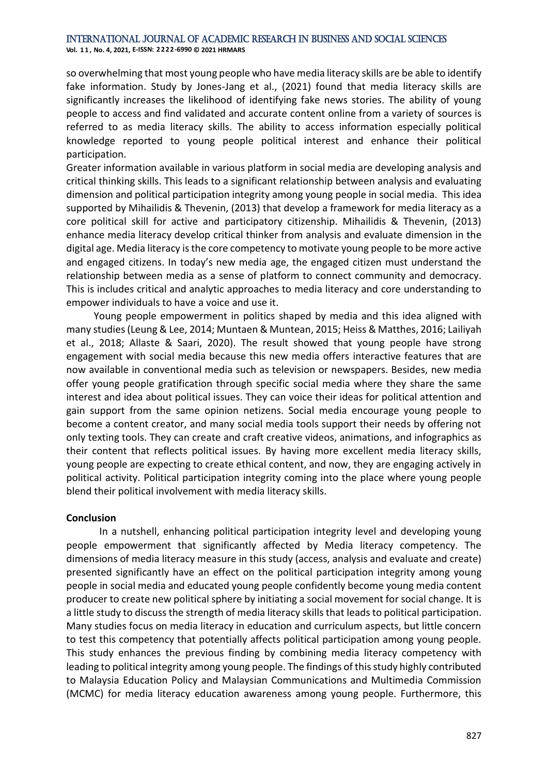**Vol. 1 1 , No. 4, 2021, E-ISSN: 2222-6990 © 2021 HRMARS**

so overwhelming that most young people who have media literacy skills are be able to identify fake information. Study by Jones-Jang et al., (2021) found that media literacy skills are significantly increases the likelihood of identifying fake news stories. The ability of young people to access and find validated and accurate content online from a variety of sources is referred to as media literacy skills. The ability to access information especially political knowledge reported to young people political interest and enhance their political participation.

Greater information available in various platform in social media are developing analysis and critical thinking skills. This leads to a significant relationship between analysis and evaluating dimension and political participation integrity among young people in social media. This idea supported by Mihailidis & Thevenin, (2013) that develop a framework for media literacy as a core political skill for active and participatory citizenship. Mihailidis & Thevenin, (2013) enhance media literacy develop critical thinker from analysis and evaluate dimension in the digital age. Media literacy is the core competency to motivate young people to be more active and engaged citizens. In today's new media age, the engaged citizen must understand the relationship between media as a sense of platform to connect community and democracy. This is includes critical and analytic approaches to media literacy and core understanding to empower individuals to have a voice and use it.

 Young people empowerment in politics shaped by media and this idea aligned with many studies (Leung & Lee, 2014; Muntaen & Muntean, 2015; Heiss & Matthes, 2016; Lailiyah et al., 2018; Allaste & Saari, 2020). The result showed that young people have strong engagement with social media because this new media offers interactive features that are now available in conventional media such as television or newspapers. Besides, new media offer young people gratification through specific social media where they share the same interest and idea about political issues. They can voice their ideas for political attention and gain support from the same opinion netizens. Social media encourage young people to become a content creator, and many social media tools support their needs by offering not only texting tools. They can create and craft creative videos, animations, and infographics as their content that reflects political issues. By having more excellent media literacy skills, young people are expecting to create ethical content, and now, they are engaging actively in political activity. Political participation integrity coming into the place where young people blend their political involvement with media literacy skills.

#### **Conclusion**

In a nutshell, enhancing political participation integrity level and developing young people empowerment that significantly affected by Media literacy competency. The dimensions of media literacy measure in this study (access, analysis and evaluate and create) presented significantly have an effect on the political participation integrity among young people in social media and educated young people confidently become young media content producer to create new political sphere by initiating a social movement for social change. It is a little study to discuss the strength of media literacy skills that leads to political participation. Many studies focus on media literacy in education and curriculum aspects, but little concern to test this competency that potentially affects political participation among young people. This study enhances the previous finding by combining media literacy competency with leading to political integrity among young people. The findings of this study highly contributed to Malaysia Education Policy and Malaysian Communications and Multimedia Commission (MCMC) for media literacy education awareness among young people. Furthermore, this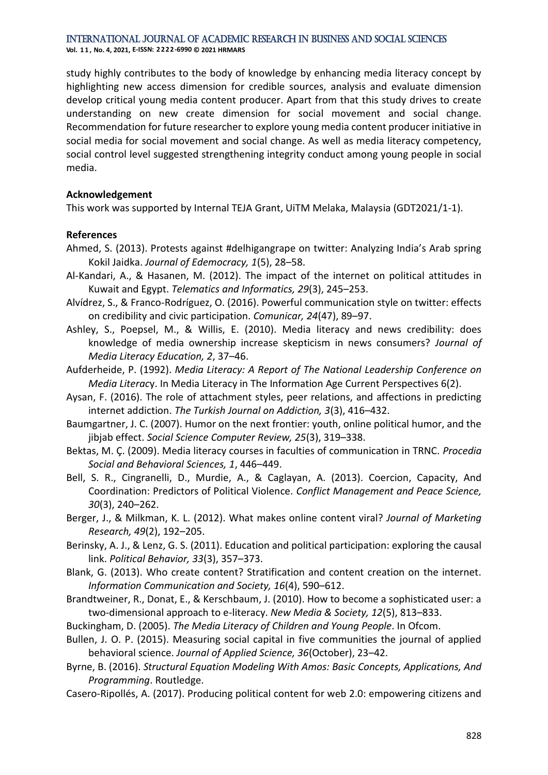**Vol. 1 1 , No. 4, 2021, E-ISSN: 2222-6990 © 2021 HRMARS**

study highly contributes to the body of knowledge by enhancing media literacy concept by highlighting new access dimension for credible sources, analysis and evaluate dimension develop critical young media content producer. Apart from that this study drives to create understanding on new create dimension for social movement and social change. Recommendation for future researcher to explore young media content producer initiative in social media for social movement and social change. As well as media literacy competency, social control level suggested strengthening integrity conduct among young people in social media.

# **Acknowledgement**

This work was supported by Internal TEJA Grant, UiTM Melaka, Malaysia (GDT2021/1-1).

# **References**

- Ahmed, S. (2013). Protests against #delhigangrape on twitter: Analyzing India's Arab spring Kokil Jaidka. *Journal of Edemocracy, 1*(5), 28–58.
- Al-Kandari, A., & Hasanen, M. (2012). The impact of the internet on political attitudes in Kuwait and Egypt. *Telematics and Informatics, 29*(3), 245–253.
- Alvídrez, S., & Franco-Rodríguez, O. (2016). Powerful communication style on twitter: effects on credibility and civic participation. *Comunicar, 24*(47), 89–97.
- Ashley, S., Poepsel, M., & Willis, E. (2010). Media literacy and news credibility: does knowledge of media ownership increase skepticism in news consumers? *Journal of Media Literacy Education, 2*, 37–46.
- Aufderheide, P. (1992). *Media Literacy: A Report of The National Leadership Conference on Media Literac*y. In Media Literacy in The Information Age Current Perspectives 6(2).
- Aysan, F. (2016). The role of attachment styles, peer relations, and affections in predicting internet addiction. *The Turkish Journal on Addiction, 3*(3), 416–432.
- Baumgartner, J. C. (2007). Humor on the next frontier: youth, online political humor, and the jibjab effect. *Social Science Computer Review, 25*(3), 319–338.
- Bektas, M. Ç. (2009). Media literacy courses in faculties of communication in TRNC. *Procedia Social and Behavioral Sciences, 1*, 446–449.
- Bell, S. R., Cingranelli, D., Murdie, A., & Caglayan, A. (2013). Coercion, Capacity, And Coordination: Predictors of Political Violence. *Conflict Management and Peace Science, 30*(3), 240–262.
- Berger, J., & Milkman, K. L. (2012). What makes online content viral? *Journal of Marketing Research, 49*(2), 192–205.
- Berinsky, A. J., & Lenz, G. S. (2011). Education and political participation: exploring the causal link. *Political Behavior, 33*(3), 357–373.
- Blank, G. (2013). Who create content? Stratification and content creation on the internet. *Information Communication and Society, 16*(4), 590–612.
- Brandtweiner, R., Donat, E., & Kerschbaum, J. (2010). How to become a sophisticated user: a two-dimensional approach to e-literacy. *New Media & Society, 12*(5), 813–833.
- Buckingham, D. (2005). *The Media Literacy of Children and Young People*. In Ofcom.
- Bullen, J. O. P. (2015). Measuring social capital in five communities the journal of applied behavioral science. *Journal of Applied Science, 36*(October), 23–42.
- Byrne, B. (2016). *Structural Equation Modeling With Amos: Basic Concepts, Applications, And Programming*. Routledge.
- Casero-Ripollés, A. (2017). Producing political content for web 2.0: empowering citizens and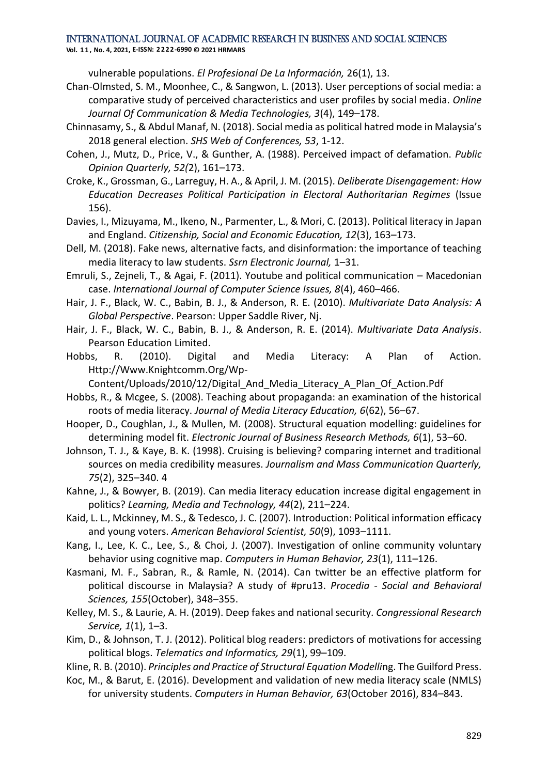**Vol. 1 1 , No. 4, 2021, E-ISSN: 2222-6990 © 2021 HRMARS**

vulnerable populations. *El Profesional De La Información,* 26(1), 13.

- Chan-Olmsted, S. M., Moonhee, C., & Sangwon, L. (2013). User perceptions of social media: a comparative study of perceived characteristics and user profiles by social media. *Online Journal Of Communication & Media Technologies, 3*(4), 149–178.
- Chinnasamy, S., & Abdul Manaf, N. (2018). Social media as political hatred mode in Malaysia's 2018 general election. *SHS Web of Conferences, 53*, 1-12.
- Cohen, J., Mutz, D., Price, V., & Gunther, A. (1988). Perceived impact of defamation. *Public Opinion Quarterly, 52(*2), 161–173.
- Croke, K., Grossman, G., Larreguy, H. A., & April, J. M. (2015). *Deliberate Disengagement: How Education Decreases Political Participation in Electoral Authoritarian Regimes* (Issue 156).
- Davies, I., Mizuyama, M., Ikeno, N., Parmenter, L., & Mori, C. (2013). Political literacy in Japan and England. *Citizenship, Social and Economic Education, 12*(3), 163–173.
- Dell, M. (2018). Fake news, alternative facts, and disinformation: the importance of teaching media literacy to law students. *Ssrn Electronic Journal,* 1–31.
- Emruli, S., Zejneli, T., & Agai, F. (2011). Youtube and political communication Macedonian case. *International Journal of Computer Science Issues, 8*(4), 460–466.
- Hair, J. F., Black, W. C., Babin, B. J., & Anderson, R. E. (2010). *Multivariate Data Analysis: A Global Perspective*. Pearson: Upper Saddle River, Nj.
- Hair, J. F., Black, W. C., Babin, B. J., & Anderson, R. E. (2014). *Multivariate Data Analysis*. Pearson Education Limited.
- Hobbs, R. (2010). Digital and Media Literacy: A Plan of Action. Http://Www.Knightcomm.Org/Wp-
- Content/Uploads/2010/12/Digital\_And\_Media\_Literacy\_A\_Plan\_Of\_Action.Pdf
- Hobbs, R., & Mcgee, S. (2008). Teaching about propaganda: an examination of the historical roots of media literacy. *Journal of Media Literacy Education, 6*(62), 56–67.
- Hooper, D., Coughlan, J., & Mullen, M. (2008). Structural equation modelling: guidelines for determining model fit. *Electronic Journal of Business Research Methods, 6*(1), 53–60.
- Johnson, T. J., & Kaye, B. K. (1998). Cruising is believing? comparing internet and traditional sources on media credibility measures. *Journalism and Mass Communication Quarterly, 75*(2), 325–340. 4
- Kahne, J., & Bowyer, B. (2019). Can media literacy education increase digital engagement in politics? *Learning, Media and Technology, 44*(2), 211–224.
- Kaid, L. L., Mckinney, M. S., & Tedesco, J. C. (2007). Introduction: Political information efficacy and young voters. *American Behavioral Scientist, 50*(9), 1093–1111.
- Kang, I., Lee, K. C., Lee, S., & Choi, J. (2007). Investigation of online community voluntary behavior using cognitive map. *Computers in Human Behavior, 23*(1), 111–126.
- Kasmani, M. F., Sabran, R., & Ramle, N. (2014). Can twitter be an effective platform for political discourse in Malaysia? A study of #pru13. *Procedia - Social and Behavioral Sciences, 155*(October), 348–355.
- Kelley, M. S., & Laurie, A. H. (2019). Deep fakes and national security. *Congressional Research Service, 1*(1), 1–3.
- Kim, D., & Johnson, T. J. (2012). Political blog readers: predictors of motivations for accessing political blogs. *Telematics and Informatics, 29*(1), 99–109.

Kline, R. B. (2010). *Principles and Practice of Structural Equation Modelli*ng. The Guilford Press.

Koc, M., & Barut, E. (2016). Development and validation of new media literacy scale (NMLS) for university students. *Computers in Human Behavior, 63*(October 2016), 834–843.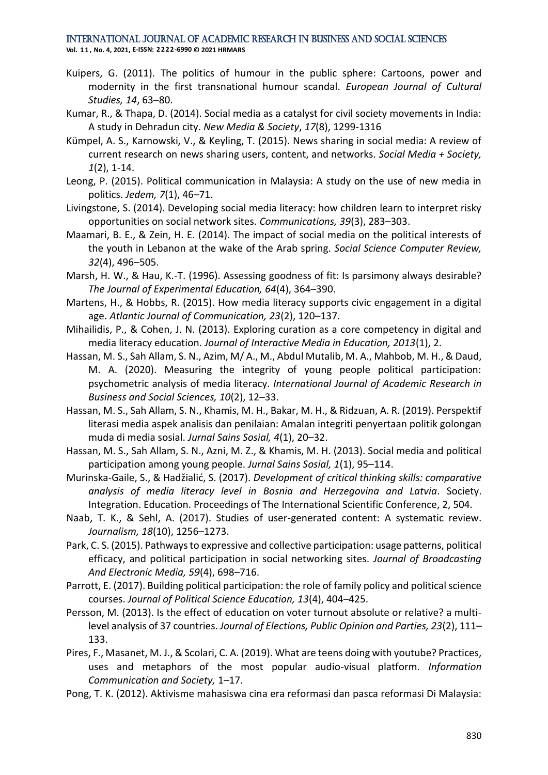**Vol. 1 1 , No. 4, 2021, E-ISSN: 2222-6990 © 2021 HRMARS**

- Kuipers, G. (2011). The politics of humour in the public sphere: Cartoons, power and modernity in the first transnational humour scandal. *European Journal of Cultural Studies, 14*, 63–80.
- Kumar, R., & Thapa, D. (2014). Social media as a catalyst for civil society movements in India: A study in Dehradun city. *New Media & Society*, *17*(8), 1299-1316
- Kümpel, A. S., Karnowski, V., & Keyling, T. (2015). News sharing in social media: A review of current research on news sharing users, content, and networks. *Social Media + Society, 1*(2), 1-14.
- Leong, P. (2015). Political communication in Malaysia: A study on the use of new media in politics. *Jedem, 7*(1), 46–71.
- Livingstone, S. (2014). Developing social media literacy: how children learn to interpret risky opportunities on social network sites. *Communications, 39*(3), 283–303.
- Maamari, B. E., & Zein, H. E. (2014). The impact of social media on the political interests of the youth in Lebanon at the wake of the Arab spring. *Social Science Computer Review, 32*(4), 496–505.
- Marsh, H. W., & Hau, K.-T. (1996). Assessing goodness of fit: Is parsimony always desirable? *The Journal of Experimental Education, 64*(4), 364–390.
- Martens, H., & Hobbs, R. (2015). How media literacy supports civic engagement in a digital age. *Atlantic Journal of Communication, 23*(2), 120–137.
- Mihailidis, P., & Cohen, J. N. (2013). Exploring curation as a core competency in digital and media literacy education. *Journal of Interactive Media in Education, 2013*(1), 2.
- Hassan, M. S., Sah Allam, S. N., Azim, M/ A., M., Abdul Mutalib, M. A., Mahbob, M. H., & Daud, M. A. (2020). Measuring the integrity of young people political participation: psychometric analysis of media literacy. *International Journal of Academic Research in Business and Social Sciences, 10*(2), 12–33.
- Hassan, M. S., Sah Allam, S. N., Khamis, M. H., Bakar, M. H., & Ridzuan, A. R. (2019). Perspektif literasi media aspek analisis dan penilaian: Amalan integriti penyertaan politik golongan muda di media sosial. *Jurnal Sains Sosial, 4*(1), 20–32.
- Hassan, M. S., Sah Allam, S. N., Azni, M. Z., & Khamis, M. H. (2013). Social media and political participation among young people. *Jurnal Sains Sosial, 1*(1), 95–114.
- Murinska-Gaile, S., & Hadžialić, S. (2017). *Development of critical thinking skills: comparative analysis of media literacy level in Bosnia and Herzegovina and Latvia*. Society. Integration. Education. Proceedings of The International Scientific Conference, 2, 504.
- Naab, T. K., & Sehl, A. (2017). Studies of user-generated content: A systematic review. *Journalism, 18*(10), 1256–1273.
- Park, C. S. (2015). Pathways to expressive and collective participation: usage patterns, political efficacy, and political participation in social networking sites. *Journal of Broadcasting And Electronic Media, 59*(4), 698–716.
- Parrott, E. (2017). Building political participation: the role of family policy and political science courses. *Journal of Political Science Education, 13*(4), 404–425.
- Persson, M. (2013). Is the effect of education on voter turnout absolute or relative? a multilevel analysis of 37 countries. *Journal of Elections, Public Opinion and Parties, 23*(2), 111– 133.
- Pires, F., Masanet, M. J., & Scolari, C. A. (2019). What are teens doing with youtube? Practices, uses and metaphors of the most popular audio-visual platform. *Information Communication and Society,* 1–17.
- Pong, T. K. (2012). Aktivisme mahasiswa cina era reformasi dan pasca reformasi Di Malaysia: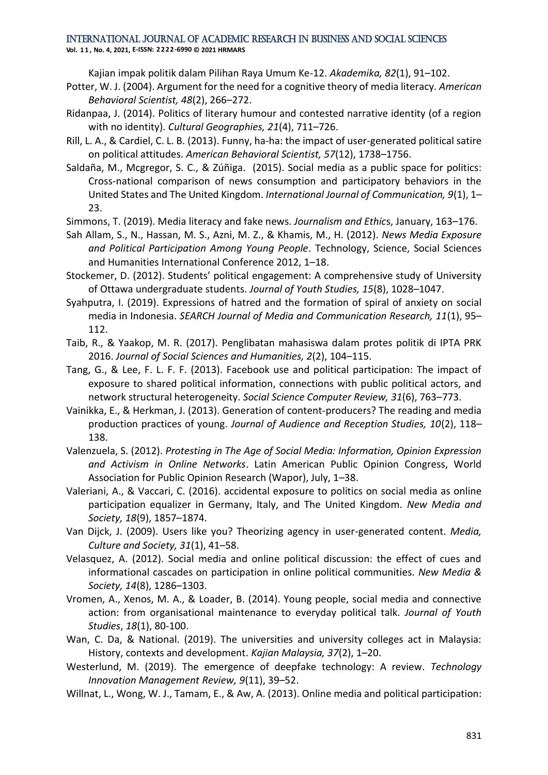**Vol. 1 1 , No. 4, 2021, E-ISSN: 2222-6990 © 2021 HRMARS**

Kajian impak politik dalam Pilihan Raya Umum Ke-12. *Akademika, 82*(1), 91–102.

- Potter, W. J. (2004). Argument for the need for a cognitive theory of media literacy. *American Behavioral Scientist, 48*(2), 266–272.
- Ridanpaa, J. (2014). Politics of literary humour and contested narrative identity (of a region with no identity). *Cultural Geographies, 21*(4), 711–726.
- Rill, L. A., & Cardiel, C. L. B. (2013). Funny, ha-ha: the impact of user-generated political satire on political attitudes. *American Behavioral Scientist, 57*(12), 1738–1756.
- Saldaña, M., Mcgregor, S. C., & Zúñiga. (2015). Social media as a public space for politics: Cross-national comparison of news consumption and participatory behaviors in the United States and The United Kingdom. *International Journal of Communication, 9*(1), 1– 23.
- Simmons, T. (2019). Media literacy and fake news. *Journalism and Ethic*s, January, 163–176.
- Sah Allam, S., N., Hassan, M. S., Azni, M. Z., & Khamis, M., H. (2012). *News Media Exposure and Political Participation Among Young People*. Technology, Science, Social Sciences and Humanities International Conference 2012, 1–18.
- Stockemer, D. (2012). Students' political engagement: A comprehensive study of University of Ottawa undergraduate students. *Journal of Youth Studies, 15*(8), 1028–1047.
- Syahputra, I. (2019). Expressions of hatred and the formation of spiral of anxiety on social media in Indonesia. *SEARCH Journal of Media and Communication Research, 11*(1), 95– 112.
- Taib, R., & Yaakop, M. R. (2017). Penglibatan mahasiswa dalam protes politik di IPTA PRK 2016. *Journal of Social Sciences and Humanities, 2*(2), 104–115.
- Tang, G., & Lee, F. L. F. F. (2013). Facebook use and political participation: The impact of exposure to shared political information, connections with public political actors, and network structural heterogeneity. *Social Science Computer Review, 31*(6), 763–773.
- Vainikka, E., & Herkman, J. (2013). Generation of content-producers? The reading and media production practices of young. *Journal of Audience and Reception Studies, 10*(2), 118– 138.
- Valenzuela, S. (2012). *Protesting in The Age of Social Media: Information, Opinion Expression and Activism in Online Networks*. Latin American Public Opinion Congress, World Association for Public Opinion Research (Wapor), July, 1–38.
- Valeriani, A., & Vaccari, C. (2016). accidental exposure to politics on social media as online participation equalizer in Germany, Italy, and The United Kingdom. *New Media and Society, 18*(9), 1857–1874.
- Van Dijck, J. (2009). Users like you? Theorizing agency in user-generated content. *Media, Culture and Society, 31*(1), 41–58.
- Velasquez, A. (2012). Social media and online political discussion: the effect of cues and informational cascades on participation in online political communities. *New Media & Society, 14*(8), 1286–1303.
- Vromen, A., Xenos, M. A., & Loader, B. (2014). Young people, social media and connective action: from organisational maintenance to everyday political talk. *Journal of Youth Studies*, *18*(1), 80-100.
- Wan, C. Da, & National. (2019). The universities and university colleges act in Malaysia: History, contexts and development. *Kajian Malaysia, 37*(2), 1–20.
- Westerlund, M. (2019). The emergence of deepfake technology: A review. *Technology Innovation Management Review, 9*(11), 39–52.
- Willnat, L., Wong, W. J., Tamam, E., & Aw, A. (2013). Online media and political participation: